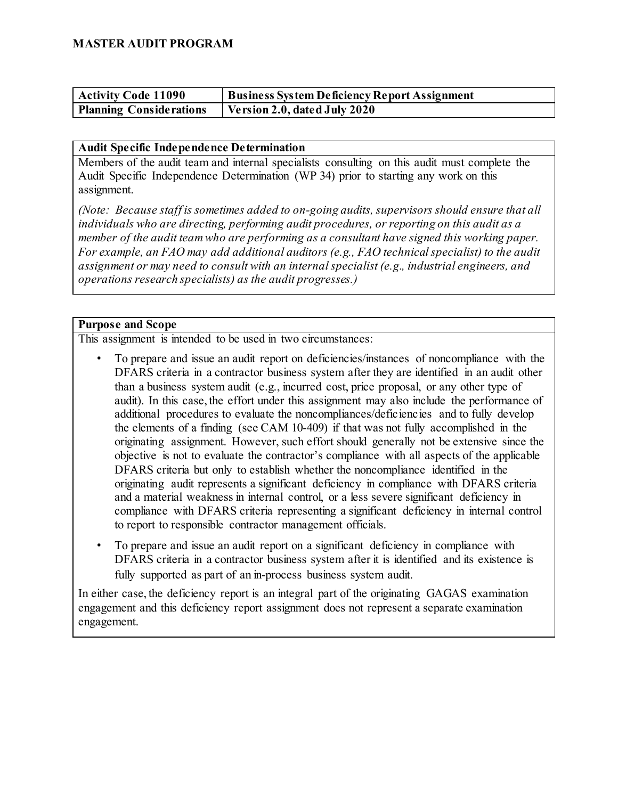| <b>Activity Code 11090</b>     | Business System Deficiency Report Assignment |
|--------------------------------|----------------------------------------------|
| <b>Planning Considerations</b> | Version 2.0, dated July 2020                 |

#### **Audit Specific Independence Determination**

Members of the audit team and internal specialists consulting on this audit must complete the Audit Specific Independence Determination (WP 34) prior to starting any work on this assignment.

*(Note: Because staff is sometimes added to on-going audits, supervisors should ensure that all individuals who are directing, performing audit procedures, or reporting on this audit as a member of the audit team who are performing as a consultant have signed this working paper. For example, an FAO may add additional auditors (e.g., FAO technical specialist) to the audit assignment or may need to consult with an internal specialist (e.g., industrial engineers, and operations research specialists) as the audit progresses.)*

### **Purpose and Scope**

This assignment is intended to be used in two circumstances:

- To prepare and issue an audit report on deficiencies/instances of noncompliance with the DFARS criteria in a contractor business system after they are identified in an audit other than a business system audit (e.g., incurred cost, price proposal, or any other type of audit). In this case, the effort under this assignment may also include the performance of additional procedures to evaluate the noncompliances/deficiencies and to fully develop the elements of a finding (see CAM 10-409) if that was not fully accomplished in the originating assignment. However, such effort should generally not be extensive since the objective is not to evaluate the contractor's compliance with all aspects of the applicable DFARS criteria but only to establish whether the noncompliance identified in the originating audit represents a significant deficiency in compliance with DFARS criteria and a material weakness in internal control, or a less severe significant deficiency in compliance with DFARS criteria representing a significant deficiency in internal control to report to responsible contractor management officials.
- To prepare and issue an audit report on a significant deficiency in compliance with DFARS criteria in a contractor business system after it is identified and its existence is fully supported as part of an in-process business system audit.

In either case, the deficiency report is an integral part of the originating GAGAS examination engagement and this deficiency report assignment does not represent a separate examination engagement.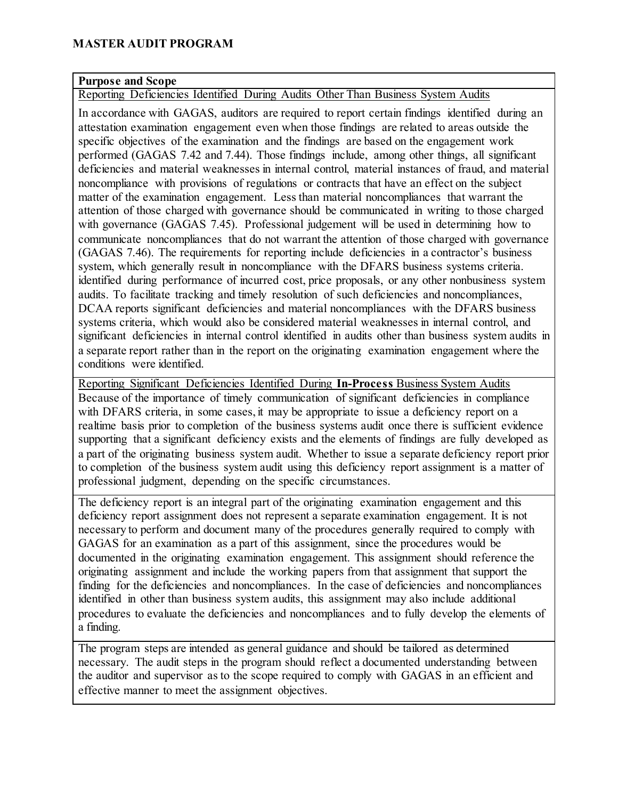### **MASTER AUDIT PROGRAM**

### **Purpose and Scope**

Reporting Deficiencies Identified During Audits Other Than Business System Audits

In accordance with GAGAS, auditors are required to report certain findings identified during an attestation examination engagement even when those findings are related to areas outside the specific objectives of the examination and the findings are based on the engagement work performed (GAGAS 7.42 and 7.44). Those findings include, among other things, all significant deficiencies and material weaknesses in internal control, material instances of fraud, and material noncompliance with provisions of regulations or contracts that have an effect on the subject matter of the examination engagement. Less than material noncompliances that warrant the attention of those charged with governance should be communicated in writing to those charged with governance (GAGAS 7.45). Professional judgement will be used in determining how to communicate noncompliances that do not warrant the attention of those charged with governance (GAGAS 7.46). The requirements for reporting include deficiencies in a contractor's business system, which generally result in noncompliance with the DFARS business systems criteria. identified during performance of incurred cost, price proposals, or any other nonbusiness system audits. To facilitate tracking and timely resolution of such deficiencies and noncompliances, DCAA reports significant deficiencies and material noncompliances with the DFARS business systems criteria, which would also be considered material weaknesses in internal control, and significant deficiencies in internal control identified in audits other than business system audits in a separate report rather than in the report on the originating examination engagement where the conditions were identified.

Reporting Significant Deficiencies Identified During **In-Process** Business System Audits Because of the importance of timely communication of significant deficiencies in compliance with DFARS criteria, in some cases, it may be appropriate to issue a deficiency report on a realtime basis prior to completion of the business systems audit once there is sufficient evidence supporting that a significant deficiency exists and the elements of findings are fully developed as a part of the originating business system audit. Whether to issue a separate deficiency report prior to completion of the business system audit using this deficiency report assignment is a matter of professional judgment, depending on the specific circumstances.

The deficiency report is an integral part of the originating examination engagement and this deficiency report assignment does not represent a separate examination engagement. It is not necessary to perform and document many of the procedures generally required to comply with GAGAS for an examination as a part of this assignment, since the procedures would be documented in the originating examination engagement. This assignment should reference the originating assignment and include the working papers from that assignment that support the finding for the deficiencies and noncompliances. In the case of deficiencies and noncompliances identified in other than business system audits, this assignment may also include additional procedures to evaluate the deficiencies and noncompliances and to fully develop the elements of a finding.

The program steps are intended as general guidance and should be tailored as determined necessary. The audit steps in the program should reflect a documented understanding between the auditor and supervisor as to the scope required to comply with GAGAS in an efficient and effective manner to meet the assignment objectives.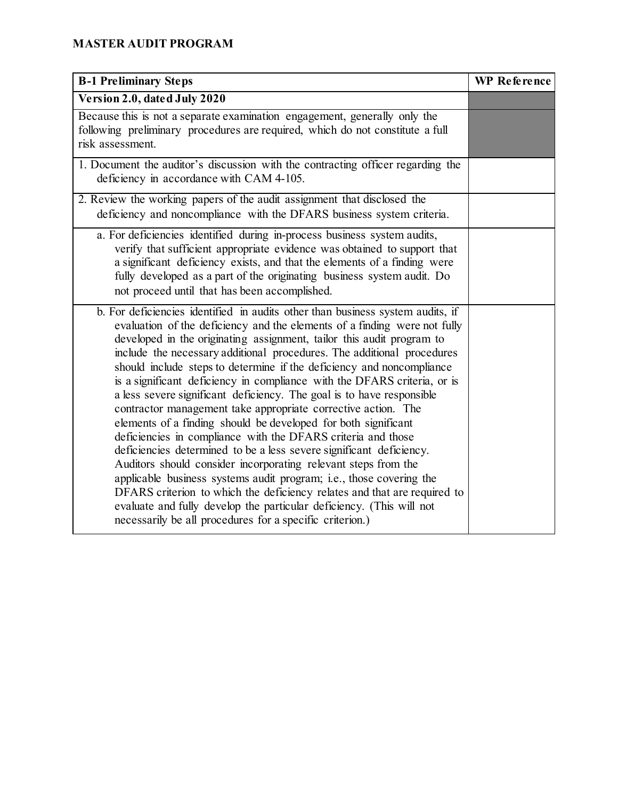# **MASTER AUDIT PROGRAM**

| <b>B-1 Preliminary Steps</b>                                                                                                                                                                                                                                                                                                                                                                                                                                                                                                                                                                                                                                                                                                                                                                                                                                                                                                                                                                                                                                                                                                                                                    | <b>WP</b> Reference |
|---------------------------------------------------------------------------------------------------------------------------------------------------------------------------------------------------------------------------------------------------------------------------------------------------------------------------------------------------------------------------------------------------------------------------------------------------------------------------------------------------------------------------------------------------------------------------------------------------------------------------------------------------------------------------------------------------------------------------------------------------------------------------------------------------------------------------------------------------------------------------------------------------------------------------------------------------------------------------------------------------------------------------------------------------------------------------------------------------------------------------------------------------------------------------------|---------------------|
| Version 2.0, dated July 2020                                                                                                                                                                                                                                                                                                                                                                                                                                                                                                                                                                                                                                                                                                                                                                                                                                                                                                                                                                                                                                                                                                                                                    |                     |
| Because this is not a separate examination engagement, generally only the<br>following preliminary procedures are required, which do not constitute a full<br>risk assessment.                                                                                                                                                                                                                                                                                                                                                                                                                                                                                                                                                                                                                                                                                                                                                                                                                                                                                                                                                                                                  |                     |
| 1. Document the auditor's discussion with the contracting officer regarding the<br>deficiency in accordance with CAM 4-105.                                                                                                                                                                                                                                                                                                                                                                                                                                                                                                                                                                                                                                                                                                                                                                                                                                                                                                                                                                                                                                                     |                     |
| 2. Review the working papers of the audit assignment that disclosed the<br>deficiency and noncompliance with the DFARS business system criteria.                                                                                                                                                                                                                                                                                                                                                                                                                                                                                                                                                                                                                                                                                                                                                                                                                                                                                                                                                                                                                                |                     |
| a. For deficiencies identified during in-process business system audits,<br>verify that sufficient appropriate evidence was obtained to support that<br>a significant deficiency exists, and that the elements of a finding were<br>fully developed as a part of the originating business system audit. Do<br>not proceed until that has been accomplished.                                                                                                                                                                                                                                                                                                                                                                                                                                                                                                                                                                                                                                                                                                                                                                                                                     |                     |
| b. For deficiencies identified in audits other than business system audits, if<br>evaluation of the deficiency and the elements of a finding were not fully<br>developed in the originating assignment, tailor this audit program to<br>include the necessary additional procedures. The additional procedures<br>should include steps to determine if the deficiency and noncompliance<br>is a significant deficiency in compliance with the DFARS criteria, or is<br>a less severe significant deficiency. The goal is to have responsible<br>contractor management take appropriate corrective action. The<br>elements of a finding should be developed for both significant<br>deficiencies in compliance with the DFARS criteria and those<br>deficiencies determined to be a less severe significant deficiency.<br>Auditors should consider incorporating relevant steps from the<br>applicable business systems audit program; i.e., those covering the<br>DFARS criterion to which the deficiency relates and that are required to<br>evaluate and fully develop the particular deficiency. (This will not<br>necessarily be all procedures for a specific criterion.) |                     |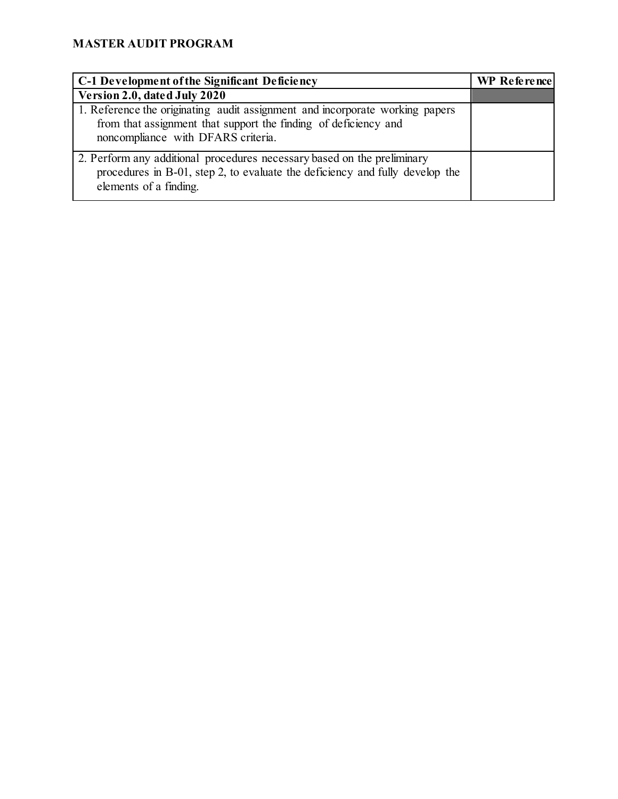| C-1 Development of the Significant Deficiency                                                                                                                                         | WP Reference |
|---------------------------------------------------------------------------------------------------------------------------------------------------------------------------------------|--------------|
| Version 2.0, dated July 2020                                                                                                                                                          |              |
| 1. Reference the originating audit assignment and incorporate working papers<br>from that assignment that support the finding of deficiency and<br>noncompliance with DFARS criteria. |              |
| 2. Perform any additional procedures necessary based on the preliminary<br>procedures in B-01, step 2, to evaluate the deficiency and fully develop the<br>elements of a finding.     |              |